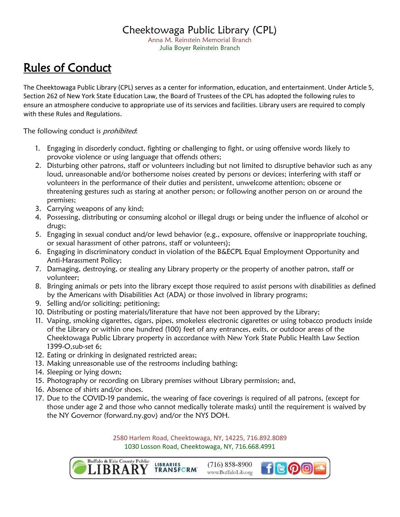## Cheektowaga Public Library (CPL)

Anna M. Reinstein Memorial Branch Julia Boyer Reinstein Branch

## Rules of Conduct

The Cheektowaga Public Library (CPL) serves as a center for information, education, and entertainment. Under Article 5, Section 262 of New York State Education Law, the Board of Trustees of the CPL has adopted the following rules to ensure an atmosphere conducive to appropriate use of its services and facilities. Library users are required to comply with these Rules and Regulations.

The following conduct is *prohibited*:

- 1. Engaging in disorderly conduct, fighting or challenging to fight, or using offensive words likely to provoke violence or using language that offends others;
- 2. Disturbing other patrons, staff or volunteers including but not limited to disruptive behavior such as any loud, unreasonable and/or bothersome noises created by persons or devices; interfering with staff or volunteers in the performance of their duties and persistent, unwelcome attention; obscene or threatening gestures such as staring at another person; or following another person on or around the premises;
- 3. Carrying weapons of any kind;
- 4. Possessing, distributing or consuming alcohol or illegal drugs or being under the influence of alcohol or drugs;
- 5. Engaging in sexual conduct and/or lewd behavior (e.g., exposure, offensive or inappropriate touching, or sexual harassment of other patrons, staff or volunteers);
- 6. Engaging in discriminatory conduct in violation of the B&ECPL Equal Employment Opportunity and Anti-Harassment Policy;
- 7. Damaging, destroying, or stealing any Library property or the property of another patron, staff or volunteer;
- 8. Bringing animals or pets into the library except those required to assist persons with disabilities as defined by the Americans with Disabilities Act (ADA) or those involved in library programs;
- 9. Selling and/or soliciting; petitioning;
- 10. Distributing or posting materials/literature that have not been approved by the Library;
- 11. Vaping, smoking cigarettes, cigars, pipes, smokeless electronic cigarettes or using tobacco products inside of the Library or within one hundred (100) feet of any entrances, exits, or outdoor areas of the Cheektowaga Public Library property in accordance with New York State Public Health Law Section 1399-O,sub-set 6;
- 12. Eating or drinking in designated restricted areas;
- 13. Making unreasonable use of the restrooms including bathing;
- 14. Sleeping or lying down;
- 15. Photography or recording on Library premises without Library permission; and,
- 16. Absence of shirts and/or shoes.
- 17. Due to the COVID-19 pandemic, the wearing of face coverings is required of all patrons, (except for those under age 2 and those who cannot medically tolerate masks) until the requirement is waived by the NY Governor (forward.ny.gov) and/or the NYS DOH.

2580 Harlem Road, Cheektowaga, NY, 14225, 716.892.8089 1030 Losson Road, Cheektowaga, NY, 716.668.4991